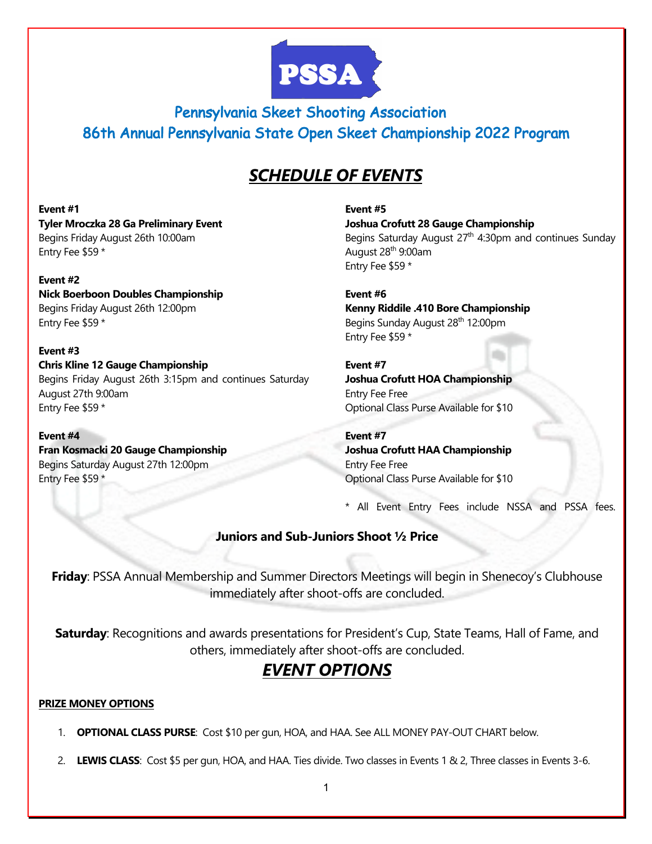

 Pennsylvania Skeet Shooting Association 86th Annual Pennsylvania State Open Skeet Championship 2022 Program

## *SCHEDULE OF EVENTS*

**Event #1 Tyler Mroczka 28 Ga Preliminary Event** Begins Friday August 26th 10:00am Entry Fee \$59 \*

**Event #2 Nick Boerboon Doubles Championship**  Begins Friday August 26th 12:00pm Entry Fee \$59 \*

**Event #3 Chris Kline 12 Gauge Championship**  Begins Friday August 26th 3:15pm and continues Saturday August 27th 9:00am Entry Fee \$59 \*

**Event #4 Fran Kosmacki 20 Gauge Championship**  Begins Saturday August 27th 12:00pm Entry Fee \$59 \*

**Event #5 Joshua Crofutt 28 Gauge Championship**  Begins Saturday August  $27<sup>th</sup>$  4:30pm and continues Sunday August 28th 9:00am Entry Fee \$59 \*

**Event #6 Kenny Riddile .410 Bore Championship**  Begins Sunday August 28<sup>th</sup> 12:00pm Entry Fee \$59 \*

**Event #7 Joshua Crofutt HOA Championship**  Entry Fee Free Optional Class Purse Available for \$10

**Event #7 Joshua Crofutt HAA Championship**  Entry Fee Free Optional Class Purse Available for \$10

\* All Event Entry Fees include NSSA and PSSA fees.

### **Juniors and Sub-Juniors Shoot ½ Price**

**Friday**: PSSA Annual Membership and Summer Directors Meetings will begin in Shenecoy's Clubhouse immediately after shoot-offs are concluded.

**Saturday**: Recognitions and awards presentations for President's Cup, State Teams, Hall of Fame, and others, immediately after shoot-offs are concluded.

# *EVENT OPTIONS*

#### **PRIZE MONEY OPTIONS**

- 1. **OPTIONAL CLASS PURSE**: Cost \$10 per gun, HOA, and HAA. See ALL MONEY PAY-OUT CHART below.
- 2. **LEWIS CLASS**: Cost \$5 per gun, HOA, and HAA. Ties divide. Two classes in Events 1 & 2, Three classes in Events 3-6.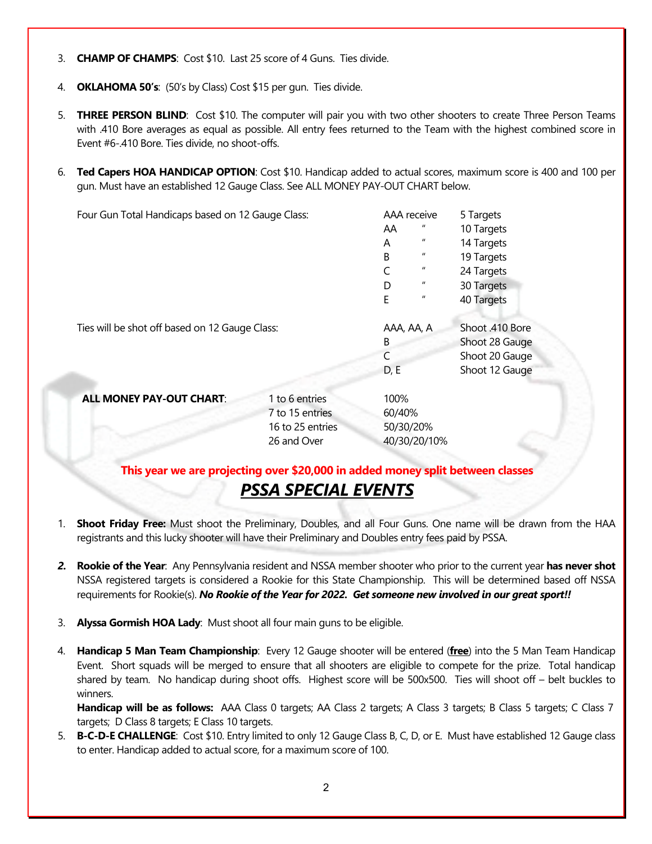- 3. **CHAMP OF CHAMPS**: Cost \$10. Last 25 score of 4 Guns. Ties divide.
- 4. **OKLAHOMA 50's**: (50's by Class) Cost \$15 per gun. Ties divide.
- 5. **THREE PERSON BLIND**: Cost \$10. The computer will pair you with two other shooters to create Three Person Teams with .410 Bore averages as equal as possible. All entry fees returned to the Team with the highest combined score in Event #6-.410 Bore. Ties divide, no shoot-offs.
- 6. **Ted Capers HOA HANDICAP OPTION**: Cost \$10. Handicap added to actual scores, maximum score is 400 and 100 per gun. Must have an established 12 Gauge Class. See ALL MONEY PAY-OUT CHART below.

Four Gun Total Handicaps based on 12 Gauge Class: AAA receive 5 Targets AA " 10 Targets A " 14 Targets B " 19 Targets C " 24 Targets D  $\frac{1}{2}$  30 Targets E " 40 Targets Ties will be shot off based on 12 Gauge Class: AAA, AA, AA, A Shoot .410 Bore B Shoot 28 Gauge C Shoot 20 Gauge D, E Shoot 12 Gauge **ALL MONEY PAY-OUT CHART:** 1 to 6 entries 100% 7 to 15 entries 60/40% 16 to 25 entries 50/30/20% 26 and Over 40/30/20/10%

### **This year we are projecting over \$20,000 in added money split between classes** *PSSA SPECIAL EVENTS*

- 1. **Shoot Friday Free:** Must shoot the Preliminary, Doubles, and all Four Guns. One name will be drawn from the HAA registrants and this lucky shooter will have their Preliminary and Doubles entry fees paid by PSSA.
- *2.* **Rookie of the Year**: Any Pennsylvania resident and NSSA member shooter who prior to the current year **has never shot** NSSA registered targets is considered a Rookie for this State Championship. This will be determined based off NSSA requirements for Rookie(s). *No Rookie of the Year for 2022. Get someone new involved in our great sport!!*
- 3. **Alyssa Gormish HOA Lady**: Must shoot all four main guns to be eligible.
- 4. **Handicap 5 Man Team Championship**: Every 12 Gauge shooter will be entered (**free**) into the 5 Man Team Handicap Event. Short squads will be merged to ensure that all shooters are eligible to compete for the prize. Total handicap shared by team. No handicap during shoot offs. Highest score will be 500x500. Ties will shoot off – belt buckles to winners.

**Handicap will be as follows:** AAA Class 0 targets; AA Class 2 targets; A Class 3 targets; B Class 5 targets; C Class 7 targets; D Class 8 targets; E Class 10 targets.

5. **B-C-D-E CHALLENGE**: Cost \$10. Entry limited to only 12 Gauge Class B, C, D, or E. Must have established 12 Gauge class to enter. Handicap added to actual score, for a maximum score of 100.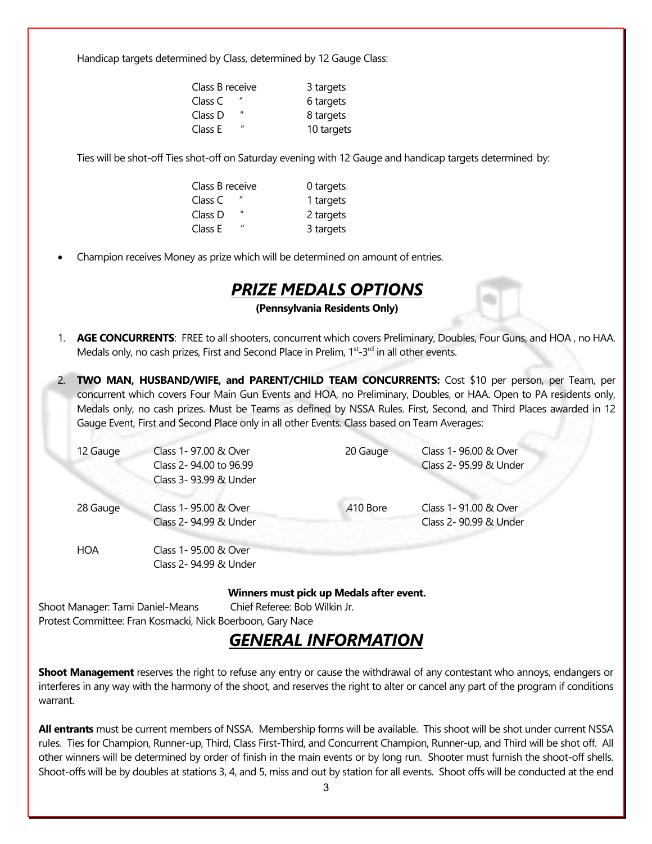Handicap targets determined by Class, determined by 12 Gauge Class:

| Class B receive                      | 3 targets  |
|--------------------------------------|------------|
| $\mathbf{u}$<br>Class C              | 6 targets  |
| $\boldsymbol{\mathsf{u}}$<br>Class D | 8 targets  |
| $\mathbf{u}$<br>Class E              | 10 targets |

Ties will be shot-off Ties shot-off on Saturday evening with 12 Gauge and handicap targets determined by:

| Class B receive              | 0 targets |
|------------------------------|-----------|
| Class C                      | 1 targets |
| $\mathbf{u}$<br>Class D      | 2 targets |
| $^{\prime\prime}$<br>Class E | 3 targets |

• Champion receives Money as prize which will be determined on amount of entries.

### *PRIZE MEDALS OPTIONS*

**(Pennsylvania Residents Only)**

- 1. **AGE CONCURRENTS**: FREE to all shooters, concurrent which covers Preliminary, Doubles, Four Guns, and HOA , no HAA. Medals only, no cash prizes, First and Second Place in Prelim, 1<sup>st</sup>-3<sup>rd</sup> in all other events.
- 2. **TWO MAN, HUSBAND/WIFE, and PARENT/CHILD TEAM CONCURRENTS:** Cost \$10 per person, per Team, per concurrent which covers Four Main Gun Events and HOA, no Preliminary, Doubles, or HAA. Open to PA residents only, Medals only, no cash prizes. Must be Teams as defined by NSSA Rules. First, Second, and Third Places awarded in 12 Gauge Event, First and Second Place only in all other Events. Class based on Team Averages:

| 12 Gauge   | Class 1-97.00 & Over<br>Class 2-94.00 to 96.99<br>Class 3-93.99 & Under | 20 Gauge  | Class 1-96.00 & Over<br>Class 2- 95.99 & Under |
|------------|-------------------------------------------------------------------------|-----------|------------------------------------------------|
| 28 Gauge   | Class 1-95.00 & Over<br>Class 2- 94.99 & Under                          | .410 Bore | Class 1-91.00 & Over<br>Class 2- 90.99 & Under |
| <b>HOA</b> | Class 1-95.00 & Over<br>Class 2-94.99 & Under                           |           |                                                |

**Winners must pick up Medals after event.**

Shoot Manager: Tami Daniel-Means Chief Referee: Bob Wilkin Jr. Protest Committee: Fran Kosmacki, Nick Boerboon, Gary Nace

# *GENERAL INFORMATION*

**Shoot Management** reserves the right to refuse any entry or cause the withdrawal of any contestant who annoys, endangers or interferes in any way with the harmony of the shoot, and reserves the right to alter or cancel any part of the program if conditions warrant.

**All entrants** must be current members of NSSA. Membership forms will be available. This shoot will be shot under current NSSA rules. Ties for Champion, Runner-up, Third, Class First-Third, and Concurrent Champion, Runner-up, and Third will be shot off. All other winners will be determined by order of finish in the main events or by long run. Shooter must furnish the shoot-off shells. Shoot-offs will be by doubles at stations 3, 4, and 5, miss and out by station for all events. Shoot offs will be conducted at the end